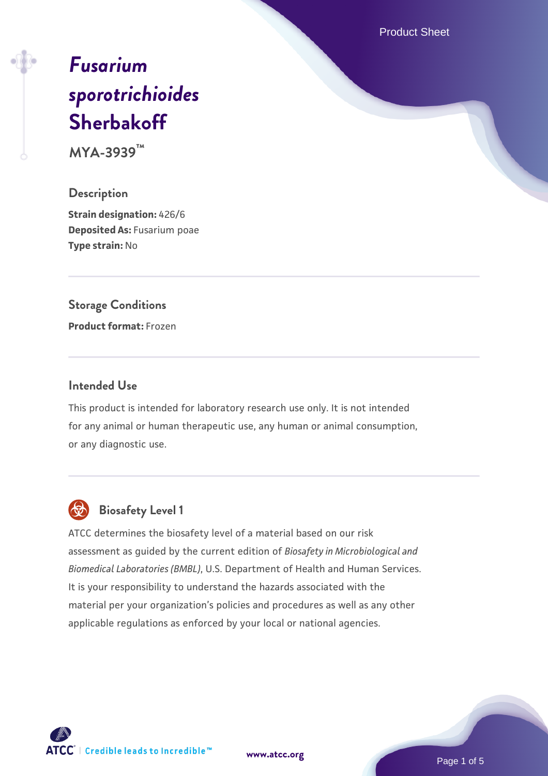Product Sheet

# *[Fusarium](https://www.atcc.org/products/mya-3939) [sporotrichioides](https://www.atcc.org/products/mya-3939)* **[Sherbakoff](https://www.atcc.org/products/mya-3939)**

**MYA-3939™**

#### **Description**

**Strain designation:** 426/6 **Deposited As:** Fusarium poae **Type strain:** No

#### **Storage Conditions**

**Product format:** Frozen

#### **Intended Use**

This product is intended for laboratory research use only. It is not intended for any animal or human therapeutic use, any human or animal consumption, or any diagnostic use.



# **Biosafety Level 1**

ATCC determines the biosafety level of a material based on our risk assessment as guided by the current edition of *Biosafety in Microbiological and Biomedical Laboratories (BMBL)*, U.S. Department of Health and Human Services. It is your responsibility to understand the hazards associated with the material per your organization's policies and procedures as well as any other applicable regulations as enforced by your local or national agencies.

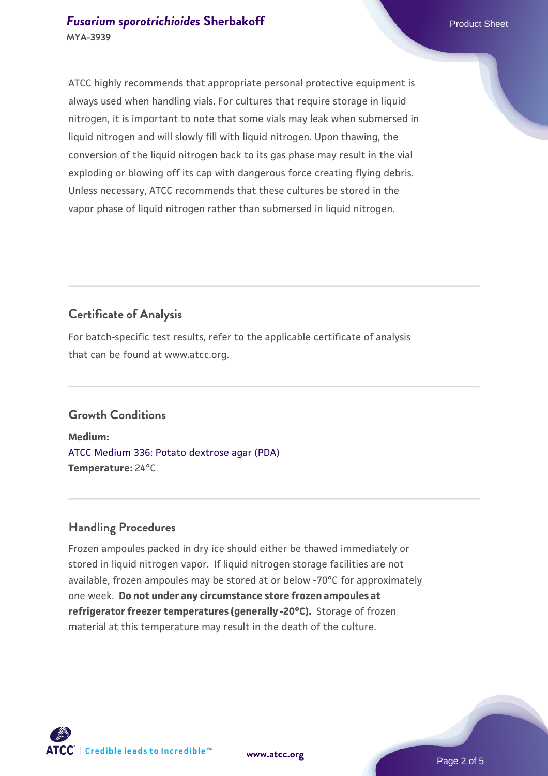#### **[Fusarium sporotrichioides](https://www.atcc.org/products/mya-3939) [Sherbakoff](https://www.atcc.org/products/mya-3939)** Product Sheet **MYA-3939**

ATCC highly recommends that appropriate personal protective equipment is always used when handling vials. For cultures that require storage in liquid nitrogen, it is important to note that some vials may leak when submersed in liquid nitrogen and will slowly fill with liquid nitrogen. Upon thawing, the conversion of the liquid nitrogen back to its gas phase may result in the vial exploding or blowing off its cap with dangerous force creating flying debris. Unless necessary, ATCC recommends that these cultures be stored in the vapor phase of liquid nitrogen rather than submersed in liquid nitrogen.

# **Certificate of Analysis**

For batch-specific test results, refer to the applicable certificate of analysis that can be found at www.atcc.org.

# **Growth Conditions**

**Medium:**  [ATCC Medium 336: Potato dextrose agar \(PDA\)](https://www.atcc.org/-/media/product-assets/documents/microbial-media-formulations/3/3/6/atcc-medium-336.pdf?rev=d9160ad44d934cd8b65175461abbf3b9) **Temperature:** 24°C

# **Handling Procedures**

Frozen ampoules packed in dry ice should either be thawed immediately or stored in liquid nitrogen vapor. If liquid nitrogen storage facilities are not available, frozen ampoules may be stored at or below -70°C for approximately one week. **Do not under any circumstance store frozen ampoules at refrigerator freezer temperatures (generally -20°C).** Storage of frozen material at this temperature may result in the death of the culture.

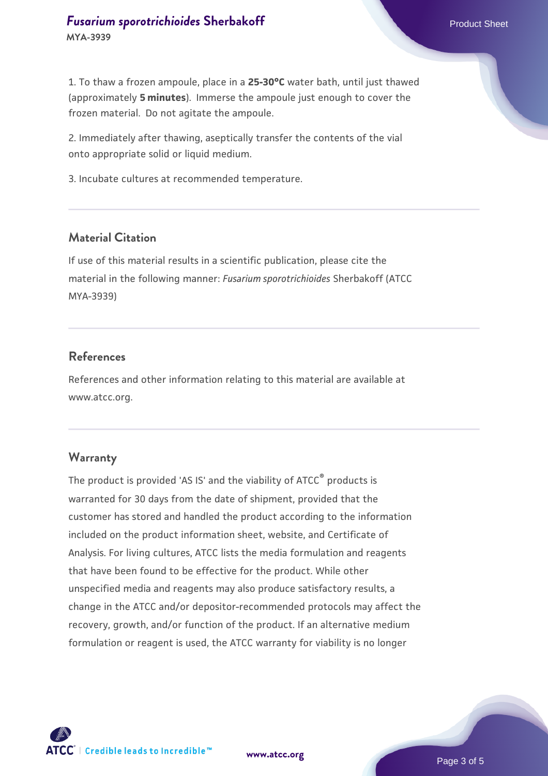1. To thaw a frozen ampoule, place in a **25-30°C** water bath, until just thawed (approximately **5 minutes**). Immerse the ampoule just enough to cover the frozen material. Do not agitate the ampoule.

2. Immediately after thawing, aseptically transfer the contents of the vial onto appropriate solid or liquid medium.

3. Incubate cultures at recommended temperature.

#### **Material Citation**

If use of this material results in a scientific publication, please cite the material in the following manner: *Fusarium sporotrichioides* Sherbakoff (ATCC MYA-3939)

#### **References**

References and other information relating to this material are available at www.atcc.org.

#### **Warranty**

The product is provided 'AS IS' and the viability of ATCC® products is warranted for 30 days from the date of shipment, provided that the customer has stored and handled the product according to the information included on the product information sheet, website, and Certificate of Analysis. For living cultures, ATCC lists the media formulation and reagents that have been found to be effective for the product. While other unspecified media and reagents may also produce satisfactory results, a change in the ATCC and/or depositor-recommended protocols may affect the recovery, growth, and/or function of the product. If an alternative medium formulation or reagent is used, the ATCC warranty for viability is no longer



**[www.atcc.org](http://www.atcc.org)**

Page 3 of 5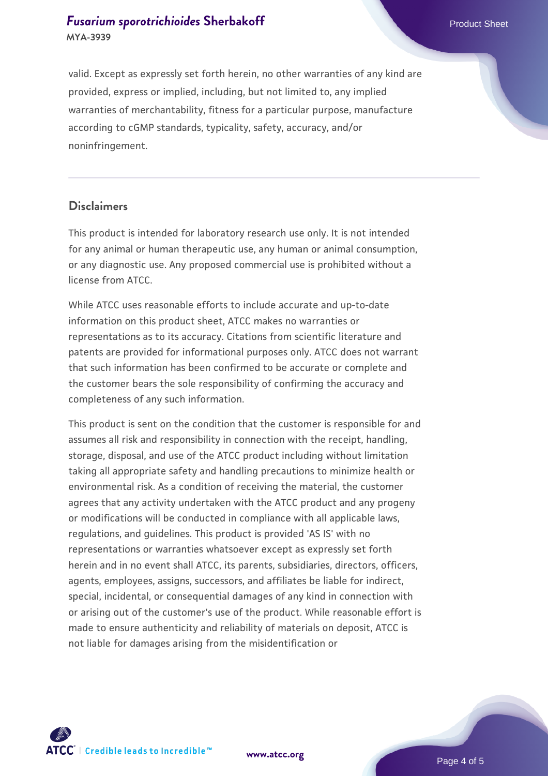#### **[Fusarium sporotrichioides](https://www.atcc.org/products/mya-3939) [Sherbakoff](https://www.atcc.org/products/mya-3939)** Product Sheet **MYA-3939**

valid. Except as expressly set forth herein, no other warranties of any kind are provided, express or implied, including, but not limited to, any implied warranties of merchantability, fitness for a particular purpose, manufacture according to cGMP standards, typicality, safety, accuracy, and/or noninfringement.

#### **Disclaimers**

This product is intended for laboratory research use only. It is not intended for any animal or human therapeutic use, any human or animal consumption, or any diagnostic use. Any proposed commercial use is prohibited without a license from ATCC.

While ATCC uses reasonable efforts to include accurate and up-to-date information on this product sheet, ATCC makes no warranties or representations as to its accuracy. Citations from scientific literature and patents are provided for informational purposes only. ATCC does not warrant that such information has been confirmed to be accurate or complete and the customer bears the sole responsibility of confirming the accuracy and completeness of any such information.

This product is sent on the condition that the customer is responsible for and assumes all risk and responsibility in connection with the receipt, handling, storage, disposal, and use of the ATCC product including without limitation taking all appropriate safety and handling precautions to minimize health or environmental risk. As a condition of receiving the material, the customer agrees that any activity undertaken with the ATCC product and any progeny or modifications will be conducted in compliance with all applicable laws, regulations, and guidelines. This product is provided 'AS IS' with no representations or warranties whatsoever except as expressly set forth herein and in no event shall ATCC, its parents, subsidiaries, directors, officers, agents, employees, assigns, successors, and affiliates be liable for indirect, special, incidental, or consequential damages of any kind in connection with or arising out of the customer's use of the product. While reasonable effort is made to ensure authenticity and reliability of materials on deposit, ATCC is not liable for damages arising from the misidentification or



**[www.atcc.org](http://www.atcc.org)**

Page 4 of 5